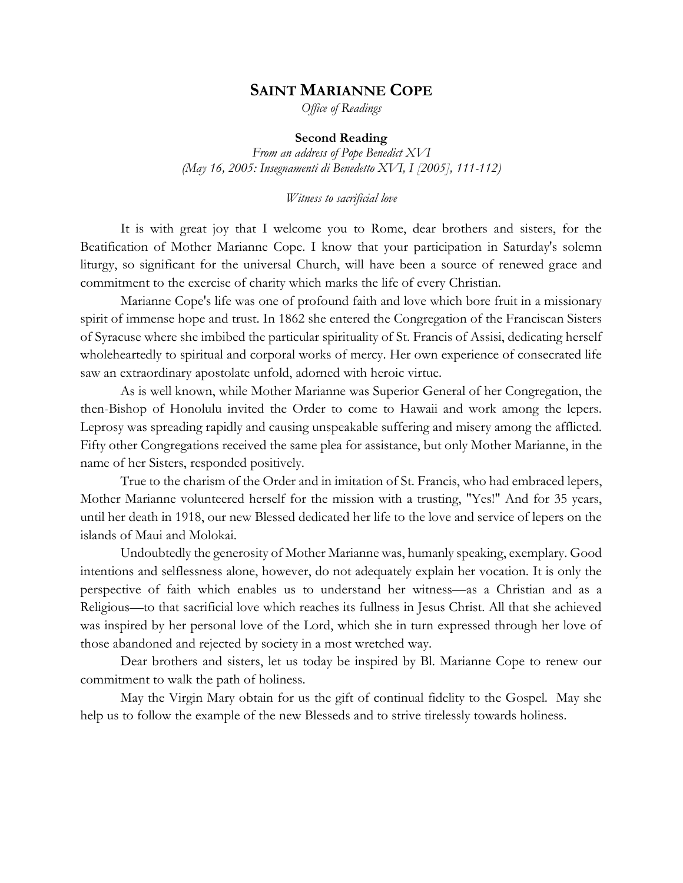# **SAINT MARIANNE COPE**

*Office of Readings*

#### **Second Reading**

*From an address of Pope Benedict XVI (May 16, 2005: Insegnamenti di Benedetto XVI, I [2005], 111-112)*

*Witness to sacrificial love*

It is with great joy that I welcome you to Rome, dear brothers and sisters, for the Beatification of Mother Marianne Cope. I know that your participation in Saturday's solemn liturgy, so significant for the universal Church, will have been a source of renewed grace and commitment to the exercise of charity which marks the life of every Christian.

Marianne Cope's life was one of profound faith and love which bore fruit in a missionary spirit of immense hope and trust. In 1862 she entered the Congregation of the Franciscan Sisters of Syracuse where she imbibed the particular spirituality of St. Francis of Assisi, dedicating herself wholeheartedly to spiritual and corporal works of mercy. Her own experience of consecrated life saw an extraordinary apostolate unfold, adorned with heroic virtue.

As is well known, while Mother Marianne was Superior General of her Congregation, the then-Bishop of Honolulu invited the Order to come to Hawaii and work among the lepers. Leprosy was spreading rapidly and causing unspeakable suffering and misery among the afflicted. Fifty other Congregations received the same plea for assistance, but only Mother Marianne, in the name of her Sisters, responded positively.

True to the charism of the Order and in imitation of St. Francis, who had embraced lepers, Mother Marianne volunteered herself for the mission with a trusting, "Yes!" And for 35 years, until her death in 1918, our new Blessed dedicated her life to the love and service of lepers on the islands of Maui and Molokai.

Undoubtedly the generosity of Mother Marianne was, humanly speaking, exemplary. Good intentions and selflessness alone, however, do not adequately explain her vocation. It is only the perspective of faith which enables us to understand her witness—as a Christian and as a Religious—to that sacrificial love which reaches its fullness in Jesus Christ. All that she achieved was inspired by her personal love of the Lord, which she in turn expressed through her love of those abandoned and rejected by society in a most wretched way.

Dear brothers and sisters, let us today be inspired by Bl. Marianne Cope to renew our commitment to walk the path of holiness.

May the Virgin Mary obtain for us the gift of continual fidelity to the Gospel. May she help us to follow the example of the new Blesseds and to strive tirelessly towards holiness.